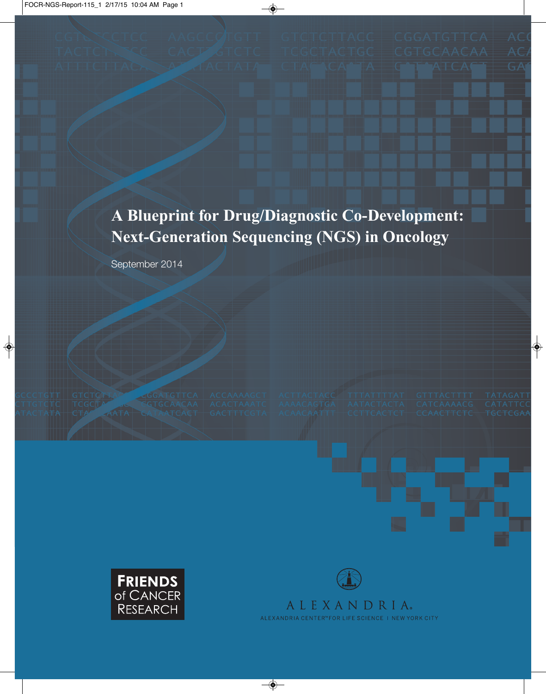# **A Blueprint for Drug/Diagnostic Co-Development: Next-Generation Sequencing (NGS) in Oncology**

۱

September 2014

 $\begin{array}{c|c|c|c} \hline \textbf{0} & \textbf{0} & \textbf{0} \\ \hline \textbf{0} & \textbf{0} & \textbf{0} \\ \hline \end{array}$ 



ALEXANDRIA ALEXANDRIA CENTER<sup>®</sup>FOR LIFE SCIENCE | NEW YORK CITY

 $\overline{\bigcirc}$ 

 $\blacklozenge$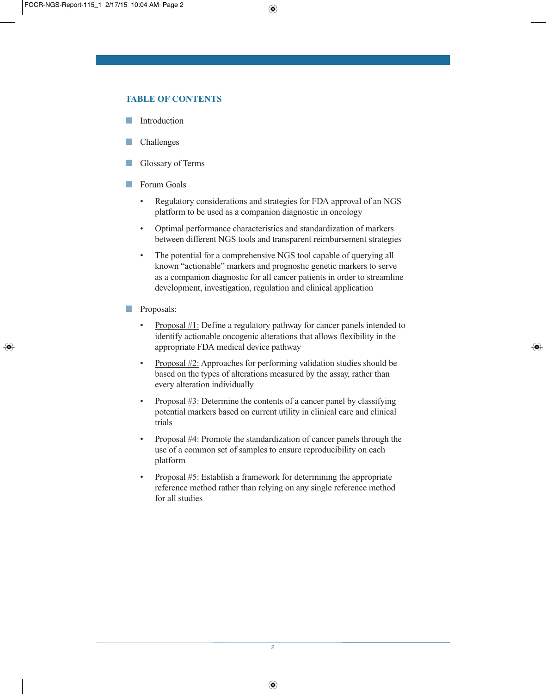## **TABLE OF CONTENTS**

- Introduction
- Challenges
- Glossary of Terms
- Forum Goals
	- Regulatory considerations and strategies for FDA approval of an NGS platform to be used as a companion diagnostic in oncology
	- Optimal performance characteristics and standardization of markers between different NGS tools and transparent reimbursement strategies
	- The potential for a comprehensive NGS tool capable of querying all known "actionable" markers and prognostic genetic markers to serve as a companion diagnostic for all cancer patients in order to streamline development, investigation, regulation and clinical application
- Proposals:
	- Proposal #1: Define a regulatory pathway for cancer panels intended to identify actionable oncogenic alterations that allows flexibility in the appropriate FDA medical device pathway
	- Proposal #2: Approaches for performing validation studies should be based on the types of alterations measured by the assay, rather than every alteration individually
	- Proposal  $\sharp 3$ : Determine the contents of a cancer panel by classifying potential markers based on current utility in clinical care and clinical trials
	- Proposal #4: Promote the standardization of cancer panels through the use of a common set of samples to ensure reproducibility on each platform
	- Proposal #5: Establish a framework for determining the appropriate reference method rather than relying on any single reference method for all studies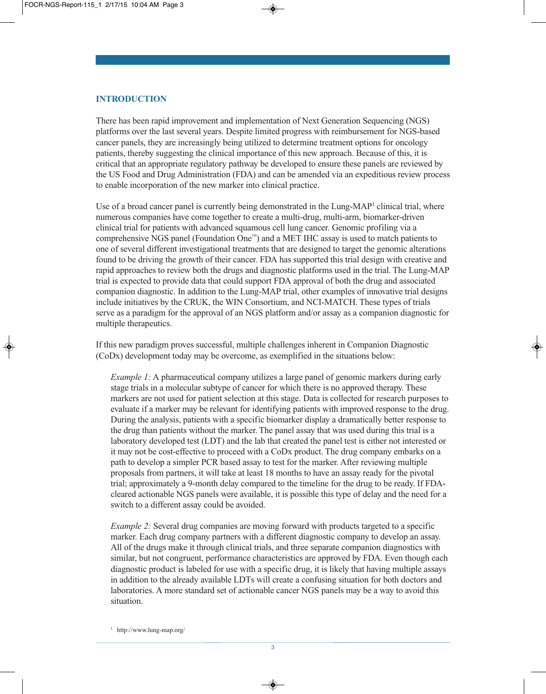## **INTRODUCTION**

There has been rapid improvement and implementation of Next Generation Sequencing (NGS) platforms over the last several years. Despite limited progress with reimbursement for NGS-based cancer panels, they are increasingly being utilized to determine treatment options for oncology patients, thereby suggesting the clinical importance of this new approach. Because of this, it is critical that an appropriate regulatory pathway be developed to ensure these panels are reviewed by the US Food and Drug Administration (FDA) and can be amended via an expeditious review process to enable incorporation of the new marker into clinical practice.

Use of a broad cancer panel is currently being demonstrated in the Lung-MAP<sup>1</sup> clinical trial, where numerous companies have come together to create a multi-drug, multi-arm, biomarker-driven clinical trial for patients with advanced squamous cell lung cancer. Genomic profiling via a comprehensive NGS panel (Foundation One<sup> $m$ </sup>) and a MET IHC assay is used to match patients to one of several different investigational treatments that are designed to target the genomic alterations found to be driving the growth of their cancer. FDA has supported this trial design with creative and rapid approaches to review both the drugs and diagnostic platforms used in the trial. The Lung-MAP trial is expected to provide data that could support FDA approval of both the drug and associated companion diagnostic. In addition to the Lung-MAP trial, other examples of innovative trial designs include initiatives by the CRUK, the WIN Consortium, and NCI-MATCH. These types of trials serve as a paradigm for the approval of an NGS platform and/or assay as a companion diagnostic for multiple therapeutics.

If this new paradigm proves successful, multiple challenges inherent in Companion Diagnostic (CoDx) development today may be overcome, as exemplified in the situations below:

*Example 1:* A pharmaceutical company utilizes a large panel of genomic markers during early stage trials in a molecular subtype of cancer for which there is no approved therapy. These markers are not used for patient selection at this stage. Data is collected for research purposes to evaluate if a marker may be relevant for identifying patients with improved response to the drug. During the analysis, patients with a specific biomarker display a dramatically better response to the drug than patients without the marker. The panel assay that was used during this trial is a laboratory developed test (LDT) and the lab that created the panel test is either not interested or it may not be cost-effective to proceed with a CoDx product. The drug company embarks on a path to develop a simpler PCR based assay to test for the marker. After reviewing multiple proposals from partners, it will take at least 18 months to have an assay ready for the pivotal trial; approximately a 9-month delay compared to the timeline for the drug to be ready. If FDAcleared actionable NGS panels were available, it is possible this type of delay and the need for a switch to a different assay could be avoided.

*Example 2:* Several drug companies are moving forward with products targeted to a specific marker. Each drug company partners with a different diagnostic company to develop an assay. All of the drugs make it through clinical trials, and three separate companion diagnostics with similar, but not congruent, performance characteristics are approved by FDA. Even though each diagnostic product is labeled for use with a specific drug, it is likely that having multiple assays in addition to the already available LDTs will create a confusing situation for both doctors and laboratories. A more standard set of actionable cancer NGS panels may be a way to avoid this situation.

<sup>1</sup> http://www.lung-map.org/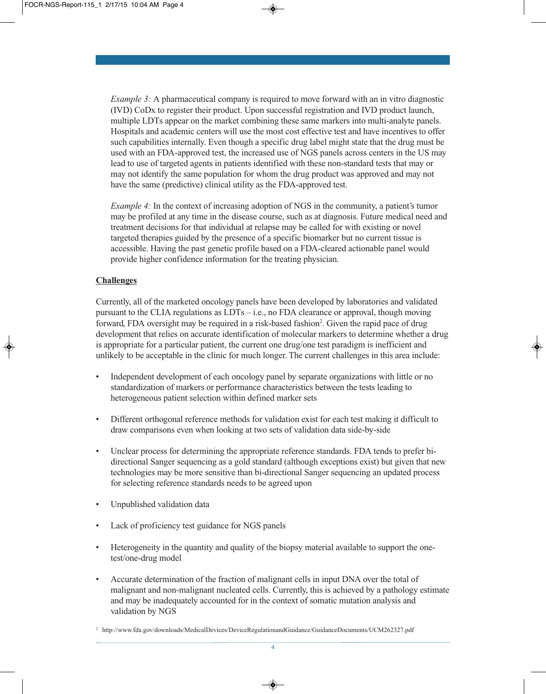*Example 3:* A pharmaceutical company is required to move forward with an in vitro diagnostic (IVD) CoDx to register their product. Upon successful registration and IVD product launch, multiple LDTs appear on the market combining these same markers into multi-analyte panels. Hospitals and academic centers will use the most cost effective test and have incentives to offer such capabilities internally. Even though a specific drug label might state that the drug must be used with an FDA-approved test, the increased use of NGS panels across centers in the US may lead to use of targeted agents in patients identified with these non-standard tests that may or may not identify the same population for whom the drug product was approved and may not have the same (predictive) clinical utility as the FDA-approved test.

*Example 4:* In the context of increasing adoption of NGS in the community, a patient's tumor may be profiled at any time in the disease course, such as at diagnosis. Future medical need and treatment decisions for that individual at relapse may be called for with existing or novel targeted therapies guided by the presence of a specific biomarker but no current tissue is accessible. Having the past genetic profile based on a FDA-cleared actionable panel would provide higher confidence information for the treating physician.

# **Challenges**

Currently, all of the marketed oncology panels have been developed by laboratories and validated pursuant to the CLIA regulations as  $LDTs - i.e.,$  no FDA clearance or approval, though moving forward, FDA oversight may be required in a risk-based fashion<sup>2</sup>. Given the rapid pace of drug development that relies on accurate identification of molecular markers to determine whether a drug is appropriate for a particular patient, the current one drug/one test paradigm is inefficient and unlikely to be acceptable in the clinic for much longer. The current challenges in this area include:

- Independent development of each oncology panel by separate organizations with little or no standardization of markers or performance characteristics between the tests leading to heterogeneous patient selection within defined marker sets
- Different orthogonal reference methods for validation exist for each test making it difficult to draw comparisons even when looking at two sets of validation data side-by-side
- Unclear process for determining the appropriate reference standards. FDA tends to prefer bidirectional Sanger sequencing as a gold standard (although exceptions exist) but given that new technologies may be more sensitive than bi-directional Sanger sequencing an updated process for selecting reference standards needs to be agreed upon
- Unpublished validation data
- Lack of proficiency test guidance for NGS panels
- Heterogeneity in the quantity and quality of the biopsy material available to support the onetest/one-drug model
- Accurate determination of the fraction of malignant cells in input DNA over the total of malignant and non-malignant nucleated cells. Currently, this is achieved by a pathology estimate and may be inadequately accounted for in the context of somatic mutation analysis and validation by NGS

<sup>2</sup> http://www.fda.gov/downloads/MedicalDevices/DeviceRegulationandGuidance/GuidanceDocuments/UCM262327.pdf

4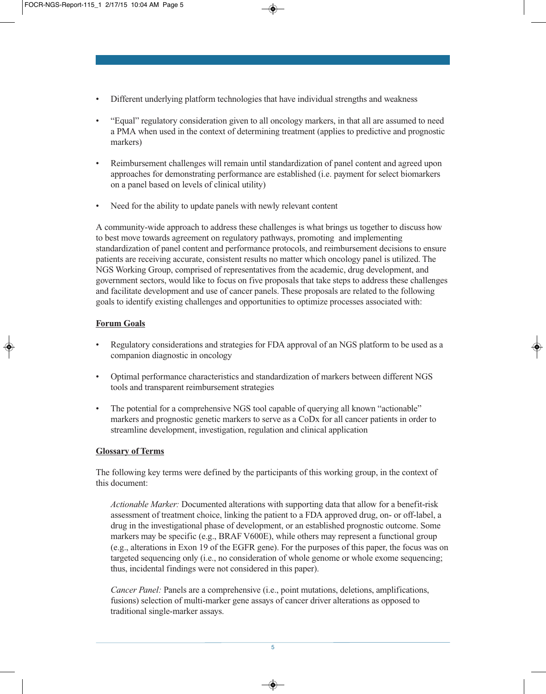- Different underlying platform technologies that have individual strengths and weakness
- "Equal" regulatory consideration given to all oncology markers, in that all are assumed to need a PMA when used in the context of determining treatment (applies to predictive and prognostic markers)
- Reimbursement challenges will remain until standardization of panel content and agreed upon approaches for demonstrating performance are established (i.e. payment for select biomarkers on a panel based on levels of clinical utility)
- Need for the ability to update panels with newly relevant content

A community-wide approach to address these challenges is what brings us together to discuss how to best move towards agreement on regulatory pathways, promoting and implementing standardization of panel content and performance protocols, and reimbursement decisions to ensure patients are receiving accurate, consistent results no matter which oncology panel is utilized. The NGS Working Group, comprised of representatives from the academic, drug development, and government sectors, would like to focus on five proposals that take steps to address these challenges and facilitate development and use of cancer panels. These proposals are related to the following goals to identify existing challenges and opportunities to optimize processes associated with:

# **Forum Goals**

- Regulatory considerations and strategies for FDA approval of an NGS platform to be used as a companion diagnostic in oncology
- Optimal performance characteristics and standardization of markers between different NGS tools and transparent reimbursement strategies
- The potential for a comprehensive NGS tool capable of querying all known "actionable" markers and prognostic genetic markers to serve as a CoDx for all cancer patients in order to streamline development, investigation, regulation and clinical application

## **Glossary of Terms**

The following key terms were defined by the participants of this working group, in the context of this document:

*Actionable Marker:* Documented alterations with supporting data that allow for a benefit-risk assessment of treatment choice, linking the patient to a FDA approved drug, on- or off-label, a drug in the investigational phase of development, or an established prognostic outcome. Some markers may be specific (e.g., BRAF V600E), while others may represent a functional group (e.g., alterations in Exon 19 of the EGFR gene). For the purposes of this paper, the focus was on targeted sequencing only (i.e., no consideration of whole genome or whole exome sequencing; thus, incidental findings were not considered in this paper).

*Cancer Panel:* Panels are a comprehensive (i.e., point mutations, deletions, amplifications, fusions) selection of multi-marker gene assays of cancer driver alterations as opposed to traditional single-marker assays.

# 5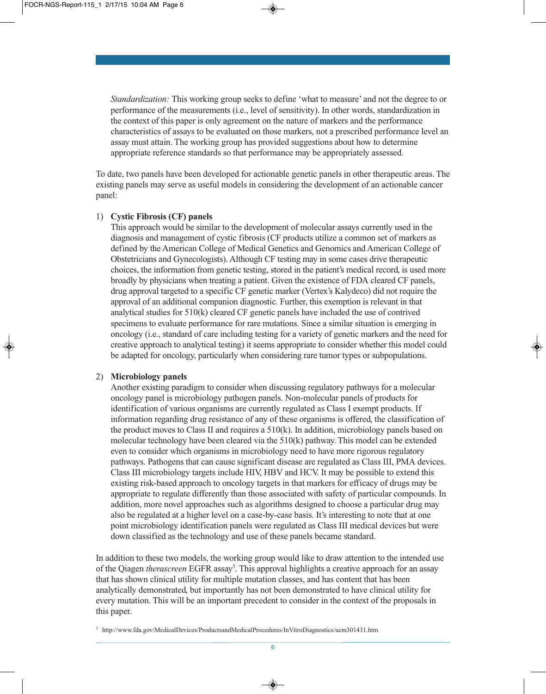*Standardization:* This working group seeks to define 'what to measure' and not the degree to or performance of the measurements (i.e., level of sensitivity). In other words, standardization in the context of this paper is only agreement on the nature of markers and the performance characteristics of assays to be evaluated on those markers, not a prescribed performance level an assay must attain. The working group has provided suggestions about how to determine appropriate reference standards so that performance may be appropriately assessed.

To date, two panels have been developed for actionable genetic panels in other therapeutic areas. The existing panels may serve as useful models in considering the development of an actionable cancer panel:

## 1) **Cystic Fibrosis (CF) panels**

This approach would be similar to the development of molecular assays currently used in the diagnosis and management of cystic fibrosis (CF products utilize a common set of markers as defined by the American College of Medical Genetics and Genomics and American College of Obstetricians and Gynecologists). Although CF testing may in some cases drive therapeutic choices, the information from genetic testing, stored in the patient's medical record, is used more broadly by physicians when treating a patient. Given the existence of FDA cleared CF panels, drug approval targeted to a specific CF genetic marker (Vertex's Kalydeco) did not require the approval of an additional companion diagnostic. Further, this exemption is relevant in that analytical studies for 510(k) cleared CF genetic panels have included the use of contrived specimens to evaluate performance for rare mutations. Since a similar situation is emerging in oncology (i.e., standard of care including testing for a variety of genetic markers and the need for creative approach to analytical testing) it seems appropriate to consider whether this model could be adapted for oncology, particularly when considering rare tumor types or subpopulations.

## 2) **Microbiology panels**

Another existing paradigm to consider when discussing regulatory pathways for a molecular oncology panel is microbiology pathogen panels. Non-molecular panels of products for identification of various organisms are currently regulated as Class I exempt products. If information regarding drug resistance of any of these organisms is offered, the classification of the product moves to Class II and requires a  $510(k)$ . In addition, microbiology panels based on molecular technology have been cleared via the 510(k) pathway. This model can be extended even to consider which organisms in microbiology need to have more rigorous regulatory pathways. Pathogens that can cause significant disease are regulated as Class III, PMA devices. Class III microbiology targets include HIV, HBV and HCV. It may be possible to extend this existing risk-based approach to oncology targets in that markers for efficacy of drugs may be appropriate to regulate differently than those associated with safety of particular compounds. In addition, more novel approaches such as algorithms designed to choose a particular drug may also be regulated at a higher level on a case-by-case basis. It's interesting to note that at one point microbiology identification panels were regulated as Class III medical devices but were down classified as the technology and use of these panels became standard.

In addition to these two models, the working group would like to draw attention to the intended use of the Qiagen *therascreen* EGFR assay<sup>3</sup>. This approval highlights a creative approach for an assay that has shown clinical utility for multiple mutation classes, and has content that has been analytically demonstrated, but importantly has not been demonstrated to have clinical utility for every mutation. This will be an important precedent to consider in the context of the proposals in this paper.

<sup>3</sup> http://www.fda.gov/MedicalDevices/ProductsandMedicalProcedures/InVitroDiagnostics/ucm301431.htm

6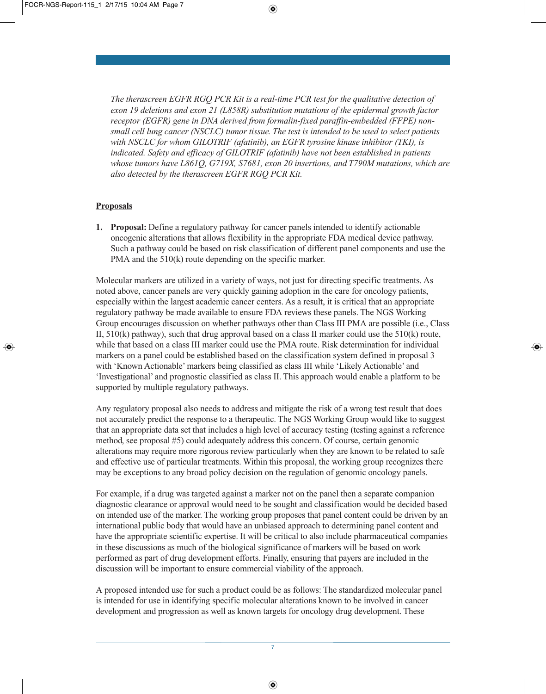*The therascreen EGFR RGQ PCR Kit is a real-time PCR test for the qualitative detection of exon 19 deletions and exon 21 (L858R) substitution mutations of the epidermal growth factor receptor (EGFR) gene in DNA derived from formalin-fixed paraffin-embedded (FFPE) nonsmall cell lung cancer (NSCLC) tumor tissue. The test is intended to be used to select patients with NSCLC for whom GILOTRIF (afatinib), an EGFR tyrosine kinase inhibitor (TKI), is indicated. Safety and efficacy of GILOTRIF (afatinib) have not been established in patients whose tumors have L861Q, G719X, S7681, exon 20 insertions, and T790M mutations, which are also detected by the therascreen EGFR RGQ PCR Kit.* 

## **Proposals**

**1. Proposal:** Define a regulatory pathway for cancer panels intended to identify actionable oncogenic alterations that allows flexibility in the appropriate FDA medical device pathway. Such a pathway could be based on risk classification of different panel components and use the PMA and the 510(k) route depending on the specific marker.

Molecular markers are utilized in a variety of ways, not just for directing specific treatments. As noted above, cancer panels are very quickly gaining adoption in the care for oncology patients, especially within the largest academic cancer centers. As a result, it is critical that an appropriate regulatory pathway be made available to ensure FDA reviews these panels. The NGS Working Group encourages discussion on whether pathways other than Class III PMA are possible (i.e., Class II,  $510(k)$  pathway), such that drug approval based on a class II marker could use the  $510(k)$  route, while that based on a class III marker could use the PMA route. Risk determination for individual markers on a panel could be established based on the classification system defined in proposal 3 with 'Known Actionable' markers being classified as class III while 'Likely Actionable' and 'Investigational' and prognostic classified as class II. This approach would enable a platform to be supported by multiple regulatory pathways.

Any regulatory proposal also needs to address and mitigate the risk of a wrong test result that does not accurately predict the response to a therapeutic. The NGS Working Group would like to suggest that an appropriate data set that includes a high level of accuracy testing (testing against a reference method, see proposal #5) could adequately address this concern. Of course, certain genomic alterations may require more rigorous review particularly when they are known to be related to safe and effective use of particular treatments. Within this proposal, the working group recognizes there may be exceptions to any broad policy decision on the regulation of genomic oncology panels.

For example, if a drug was targeted against a marker not on the panel then a separate companion diagnostic clearance or approval would need to be sought and classification would be decided based on intended use of the marker. The working group proposes that panel content could be driven by an international public body that would have an unbiased approach to determining panel content and have the appropriate scientific expertise. It will be critical to also include pharmaceutical companies in these discussions as much of the biological significance of markers will be based on work performed as part of drug development efforts. Finally, ensuring that payers are included in the discussion will be important to ensure commercial viability of the approach.

A proposed intended use for such a product could be as follows: The standardized molecular panel is intended for use in identifying specific molecular alterations known to be involved in cancer development and progression as well as known targets for oncology drug development. These

7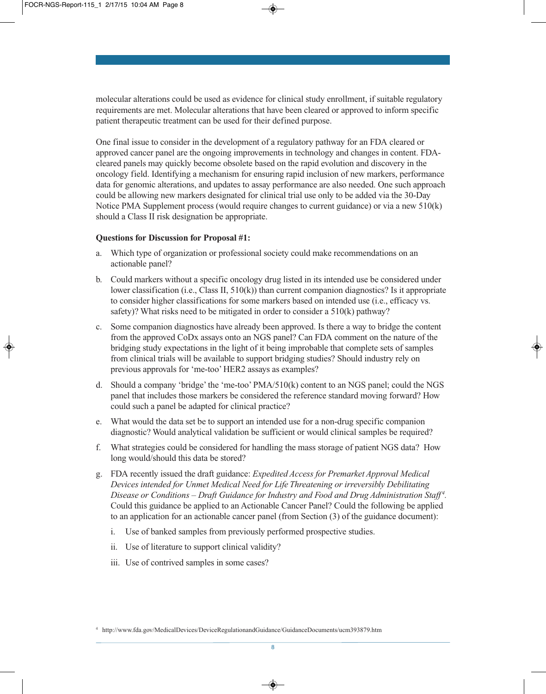molecular alterations could be used as evidence for clinical study enrollment, if suitable regulatory requirements are met. Molecular alterations that have been cleared or approved to inform specific patient therapeutic treatment can be used for their defined purpose.

One final issue to consider in the development of a regulatory pathway for an FDA cleared or approved cancer panel are the ongoing improvements in technology and changes in content. FDAcleared panels may quickly become obsolete based on the rapid evolution and discovery in the oncology field. Identifying a mechanism for ensuring rapid inclusion of new markers, performance data for genomic alterations, and updates to assay performance are also needed. One such approach could be allowing new markers designated for clinical trial use only to be added via the 30-Day Notice PMA Supplement process (would require changes to current guidance) or via a new 510(k) should a Class II risk designation be appropriate.

#### **Questions for Discussion for Proposal #1:**

- a. Which type of organization or professional society could make recommendations on an actionable panel?
- b. Could markers without a specific oncology drug listed in its intended use be considered under lower classification (i.e., Class II, 510(k)) than current companion diagnostics? Is it appropriate to consider higher classifications for some markers based on intended use (i.e., efficacy vs. safety)? What risks need to be mitigated in order to consider a 510(k) pathway?
- c. Some companion diagnostics have already been approved. Is there a way to bridge the content from the approved CoDx assays onto an NGS panel? Can FDA comment on the nature of the bridging study expectations in the light of it being improbable that complete sets of samples from clinical trials will be available to support bridging studies? Should industry rely on previous approvals for 'me-too' HER2 assays as examples?
- d. Should a company 'bridge' the 'me-too' PMA/510(k) content to an NGS panel; could the NGS panel that includes those markers be considered the reference standard moving forward? How could such a panel be adapted for clinical practice?
- e. What would the data set be to support an intended use for a non-drug specific companion diagnostic? Would analytical validation be sufficient or would clinical samples be required?
- f. What strategies could be considered for handling the mass storage of patient NGS data? How long would/should this data be stored?
- g. FDA recently issued the draft guidance: *Expedited Access for Premarket Approval Medical Devices intended for Unmet Medical Need for Life Threatening or irreversibly Debilitating Disease or Conditions – Draft Guidance for Industry and Food and Drug Administration Staff <sup>4</sup> .* Could this guidance be applied to an Actionable Cancer Panel? Could the following be applied to an application for an actionable cancer panel (from Section (3) of the guidance document):
	- i. Use of banked samples from previously performed prospective studies.
	- ii. Use of literature to support clinical validity?
	- iii. Use of contrived samples in some cases?

<sup>4</sup> http://www.fda.gov/MedicalDevices/DeviceRegulationandGuidance/GuidanceDocuments/ucm393879.htm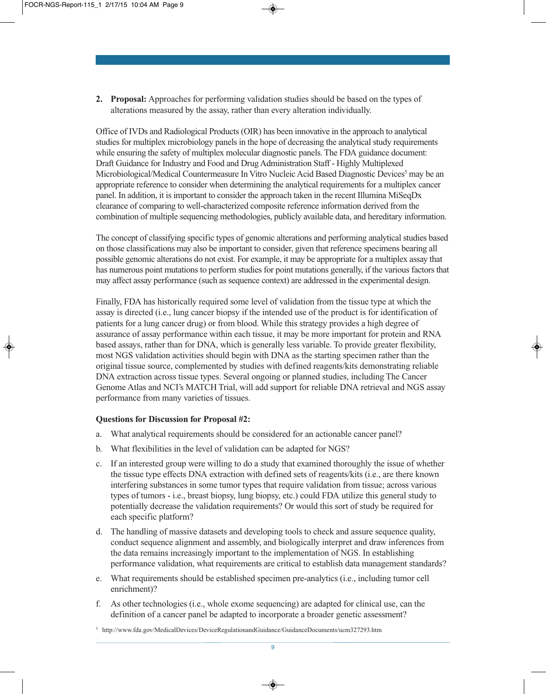**2. Proposal:** Approaches for performing validation studies should be based on the types of alterations measured by the assay, rather than every alteration individually.

Office of IVDs and Radiological Products (OIR) has been innovative in the approach to analytical studies for multiplex microbiology panels in the hope of decreasing the analytical study requirements while ensuring the safety of multiplex molecular diagnostic panels. The FDA guidance document: Draft Guidance for Industry and Food and Drug Administration Staff - Highly Multiplexed Microbiological/Medical Countermeasure In Vitro Nucleic Acid Based Diagnostic Devices<sup>5</sup> may be an appropriate reference to consider when determining the analytical requirements for a multiplex cancer panel. In addition, it is important to consider the approach taken in the recent Illumina MiSeqDx clearance of comparing to well-characterized composite reference information derived from the combination of multiple sequencing methodologies, publicly available data, and hereditary information.

The concept of classifying specific types of genomic alterations and performing analytical studies based on those classifications may also be important to consider, given that reference specimens bearing all possible genomic alterations do not exist. For example, it may be appropriate for a multiplex assay that has numerous point mutations to perform studies for point mutations generally, if the various factors that may affect assay performance (such as sequence context) are addressed in the experimental design.

Finally, FDA has historically required some level of validation from the tissue type at which the assay is directed (i.e., lung cancer biopsy if the intended use of the product is for identification of patients for a lung cancer drug) or from blood. While this strategy provides a high degree of assurance of assay performance within each tissue, it may be more important for protein and RNA based assays, rather than for DNA, which is generally less variable. To provide greater flexibility, most NGS validation activities should begin with DNA as the starting specimen rather than the original tissue source, complemented by studies with defined reagents/kits demonstrating reliable DNA extraction across tissue types. Several ongoing or planned studies, including The Cancer Genome Atlas and NCI's MATCH Trial, will add support for reliable DNA retrieval and NGS assay performance from many varieties of tissues.

# **Questions for Discussion for Proposal #2:**

- a. What analytical requirements should be considered for an actionable cancer panel?
- b. What flexibilities in the level of validation can be adapted for NGS?
- c. If an interested group were willing to do a study that examined thoroughly the issue of whether the tissue type effects DNA extraction with defined sets of reagents/kits (i.e., are there known interfering substances in some tumor types that require validation from tissue; across various types of tumors - i.e., breast biopsy, lung biopsy, etc.) could FDA utilize this general study to potentially decrease the validation requirements? Or would this sort of study be required for each specific platform?
- d. The handling of massive datasets and developing tools to check and assure sequence quality, conduct sequence alignment and assembly, and biologically interpret and draw inferences from the data remains increasingly important to the implementation of NGS. In establishing performance validation, what requirements are critical to establish data management standards?
- e. What requirements should be established specimen pre-analytics (i.e., including tumor cell enrichment)?
- f. As other technologies (i.e., whole exome sequencing) are adapted for clinical use, can the definition of a cancer panel be adapted to incorporate a broader genetic assessment?
- <sup>5</sup> http://www.fda.gov/MedicalDevices/DeviceRegulationandGuidance/GuidanceDocuments/ucm327293.htm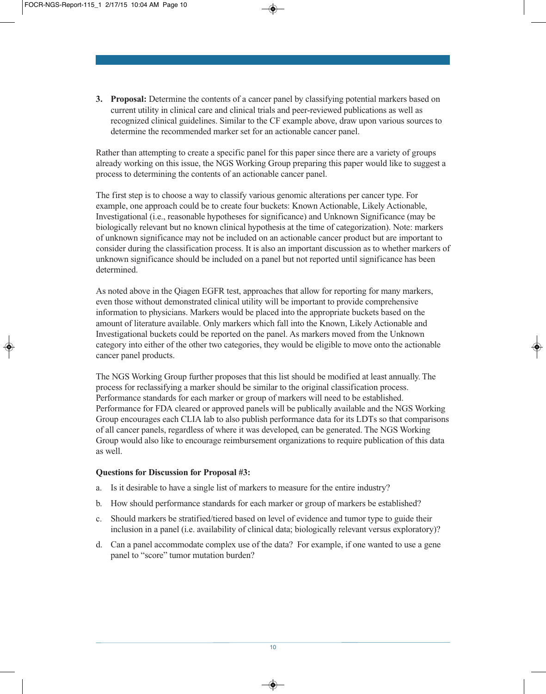**3. Proposal:** Determine the contents of a cancer panel by classifying potential markers based on current utility in clinical care and clinical trials and peer-reviewed publications as well as recognized clinical guidelines. Similar to the CF example above, draw upon various sources to determine the recommended marker set for an actionable cancer panel.

Rather than attempting to create a specific panel for this paper since there are a variety of groups already working on this issue, the NGS Working Group preparing this paper would like to suggest a process to determining the contents of an actionable cancer panel.

The first step is to choose a way to classify various genomic alterations per cancer type. For example, one approach could be to create four buckets: Known Actionable, Likely Actionable, Investigational (i.e., reasonable hypotheses for significance) and Unknown Significance (may be biologically relevant but no known clinical hypothesis at the time of categorization). Note: markers of unknown significance may not be included on an actionable cancer product but are important to consider during the classification process. It is also an important discussion as to whether markers of unknown significance should be included on a panel but not reported until significance has been determined.

As noted above in the Qiagen EGFR test, approaches that allow for reporting for many markers, even those without demonstrated clinical utility will be important to provide comprehensive information to physicians. Markers would be placed into the appropriate buckets based on the amount of literature available. Only markers which fall into the Known, Likely Actionable and Investigational buckets could be reported on the panel. As markers moved from the Unknown category into either of the other two categories, they would be eligible to move onto the actionable cancer panel products.

The NGS Working Group further proposes that this list should be modified at least annually. The process for reclassifying a marker should be similar to the original classification process. Performance standards for each marker or group of markers will need to be established. Performance for FDA cleared or approved panels will be publically available and the NGS Working Group encourages each CLIA lab to also publish performance data for its LDTs so that comparisons of all cancer panels, regardless of where it was developed, can be generated. The NGS Working Group would also like to encourage reimbursement organizations to require publication of this data as well.

#### **Questions for Discussion for Proposal #3:**

- a. Is it desirable to have a single list of markers to measure for the entire industry?
- b. How should performance standards for each marker or group of markers be established?
- c. Should markers be stratified/tiered based on level of evidence and tumor type to guide their inclusion in a panel (i.e. availability of clinical data; biologically relevant versus exploratory)?
- d. Can a panel accommodate complex use of the data? For example, if one wanted to use a gene panel to "score" tumor mutation burden?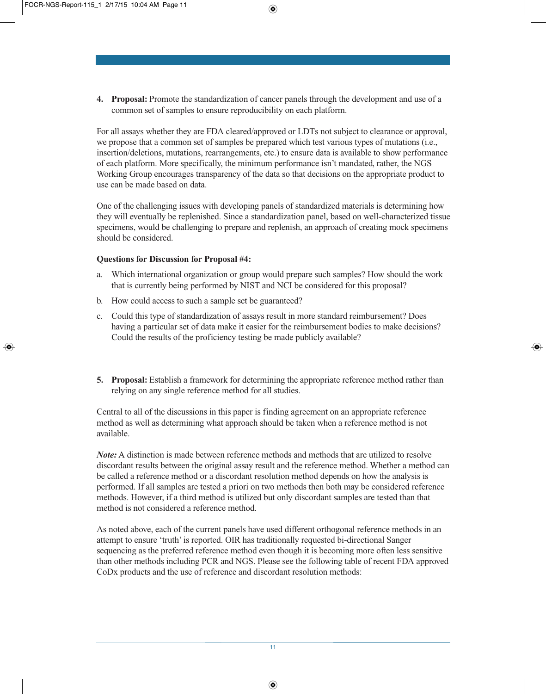**4. Proposal:** Promote the standardization of cancer panels through the development and use of a common set of samples to ensure reproducibility on each platform.

For all assays whether they are FDA cleared/approved or LDTs not subject to clearance or approval, we propose that a common set of samples be prepared which test various types of mutations (i.e., insertion/deletions, mutations, rearrangements, etc.) to ensure data is available to show performance of each platform. More specifically, the minimum performance isn't mandated, rather, the NGS Working Group encourages transparency of the data so that decisions on the appropriate product to use can be made based on data.

One of the challenging issues with developing panels of standardized materials is determining how they will eventually be replenished. Since a standardization panel, based on well-characterized tissue specimens, would be challenging to prepare and replenish, an approach of creating mock specimens should be considered.

## **Questions for Discussion for Proposal #4:**

- a. Which international organization or group would prepare such samples? How should the work that is currently being performed by NIST and NCI be considered for this proposal?
- b. How could access to such a sample set be guaranteed?
- c. Could this type of standardization of assays result in more standard reimbursement? Does having a particular set of data make it easier for the reimbursement bodies to make decisions? Could the results of the proficiency testing be made publicly available?
- **5. Proposal:** Establish a framework for determining the appropriate reference method rather than relying on any single reference method for all studies.

Central to all of the discussions in this paper is finding agreement on an appropriate reference method as well as determining what approach should be taken when a reference method is not available.

*Note:* A distinction is made between reference methods and methods that are utilized to resolve discordant results between the original assay result and the reference method. Whether a method can be called a reference method or a discordant resolution method depends on how the analysis is performed. If all samples are tested a priori on two methods then both may be considered reference methods. However, if a third method is utilized but only discordant samples are tested than that method is not considered a reference method.

As noted above, each of the current panels have used different orthogonal reference methods in an attempt to ensure 'truth' is reported. OIR has traditionally requested bi-directional Sanger sequencing as the preferred reference method even though it is becoming more often less sensitive than other methods including PCR and NGS. Please see the following table of recent FDA approved CoDx products and the use of reference and discordant resolution methods:

11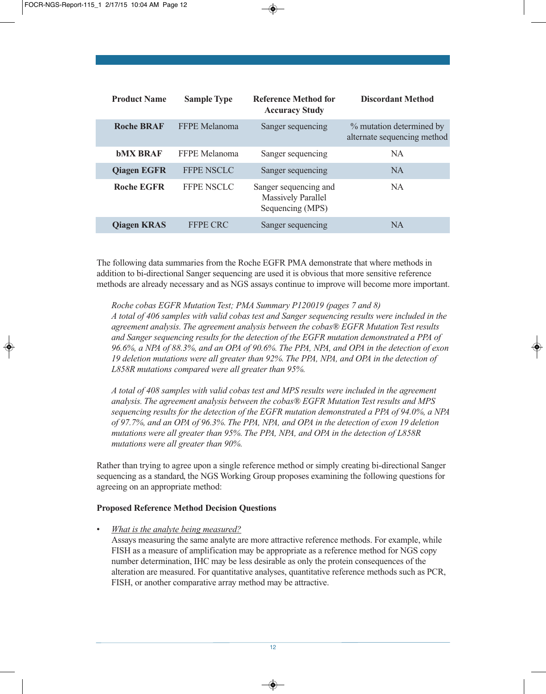| <b>Product Name</b> | <b>Sample Type</b>   | <b>Reference Method for</b><br><b>Accuracy Study</b>                   | <b>Discordant Method</b>                                |
|---------------------|----------------------|------------------------------------------------------------------------|---------------------------------------------------------|
| <b>Roche BRAF</b>   | <b>FFPE Melanoma</b> | Sanger sequencing                                                      | % mutation determined by<br>alternate sequencing method |
| <b>bMX BRAF</b>     | FFPE Melanoma        | Sanger sequencing                                                      | <b>NA</b>                                               |
| <b>Qiagen EGFR</b>  | <b>FFPE NSCLC</b>    | Sanger sequencing                                                      | <b>NA</b>                                               |
| <b>Roche EGFR</b>   | <b>FFPE NSCLC</b>    | Sanger sequencing and<br><b>Massively Parallel</b><br>Sequencing (MPS) | <b>NA</b>                                               |
| <b>Qiagen KRAS</b>  | <b>FFPE CRC</b>      | Sanger sequencing                                                      | <b>NA</b>                                               |

The following data summaries from the Roche EGFR PMA demonstrate that where methods in addition to bi-directional Sanger sequencing are used it is obvious that more sensitive reference methods are already necessary and as NGS assays continue to improve will become more important.

*Roche cobas EGFR Mutation Test; PMA Summary P120019 (pages 7 and 8) A total of 406 samples with valid cobas test and Sanger sequencing results were included in the agreement analysis. The agreement analysis between the cobas® EGFR Mutation Test results and Sanger sequencing results for the detection of the EGFR mutation demonstrated a PPA of 96.6%, a NPA of 88.3%, and an OPA of 90.6%. The PPA, NPA, and OPA in the detection of exon 19 deletion mutations were all greater than 92%. The PPA, NPA, and OPA in the detection of L858R mutations compared were all greater than 95%.*

*A total of 408 samples with valid cobas test and MPS results were included in the agreement analysis. The agreement analysis between the cobas® EGFR Mutation Test results and MPS sequencing results for the detection of the EGFR mutation demonstrated a PPA of 94.0%, a NPA of 97.7%, and an OPA of 96.3%. The PPA, NPA, and OPA in the detection of exon 19 deletion mutations were all greater than 95%. The PPA, NPA, and OPA in the detection of L858R mutations were all greater than 90%.*

Rather than trying to agree upon a single reference method or simply creating bi-directional Sanger sequencing as a standard, the NGS Working Group proposes examining the following questions for agreeing on an appropriate method:

# **Proposed Reference Method Decision Questions**

• *What is the analyte being measured?*

Assays measuring the same analyte are more attractive reference methods. For example, while FISH as a measure of amplification may be appropriate as a reference method for NGS copy number determination, IHC may be less desirable as only the protein consequences of the alteration are measured. For quantitative analyses, quantitative reference methods such as PCR, FISH, or another comparative array method may be attractive.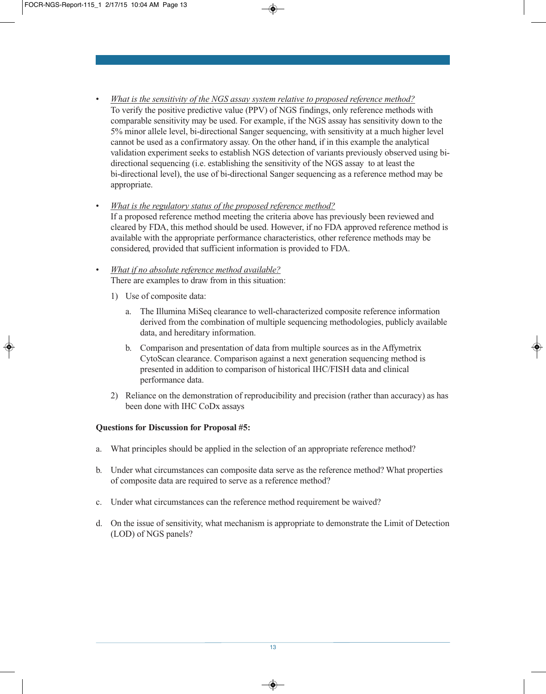- *What is the sensitivity of the NGS assay system relative to proposed reference method?* To verify the positive predictive value (PPV) of NGS findings, only reference methods with comparable sensitivity may be used. For example, if the NGS assay has sensitivity down to the 5% minor allele level, bi-directional Sanger sequencing, with sensitivity at a much higher level cannot be used as a confirmatory assay. On the other hand, if in this example the analytical validation experiment seeks to establish NGS detection of variants previously observed using bidirectional sequencing (i.e. establishing the sensitivity of the NGS assay to at least the bi-directional level), the use of bi-directional Sanger sequencing as a reference method may be appropriate.
- *What is the regulatory status of the proposed reference method?* If a proposed reference method meeting the criteria above has previously been reviewed and cleared by FDA, this method should be used. However, if no FDA approved reference method is available with the appropriate performance characteristics, other reference methods may be considered, provided that sufficient information is provided to FDA.
- *What if no absolute reference method available?* There are examples to draw from in this situation:
	- 1) Use of composite data:
		- a. The Illumina MiSeq clearance to well-characterized composite reference information derived from the combination of multiple sequencing methodologies, publicly available data, and hereditary information.
		- b. Comparison and presentation of data from multiple sources as in the Affymetrix CytoScan clearance. Comparison against a next generation sequencing method is presented in addition to comparison of historical IHC/FISH data and clinical performance data.
	- 2) Reliance on the demonstration of reproducibility and precision (rather than accuracy) as has been done with IHC CoDx assays

## **Questions for Discussion for Proposal #5:**

- a. What principles should be applied in the selection of an appropriate reference method?
- b. Under what circumstances can composite data serve as the reference method? What properties of composite data are required to serve as a reference method?
- c. Under what circumstances can the reference method requirement be waived?
- d. On the issue of sensitivity, what mechanism is appropriate to demonstrate the Limit of Detection (LOD) of NGS panels?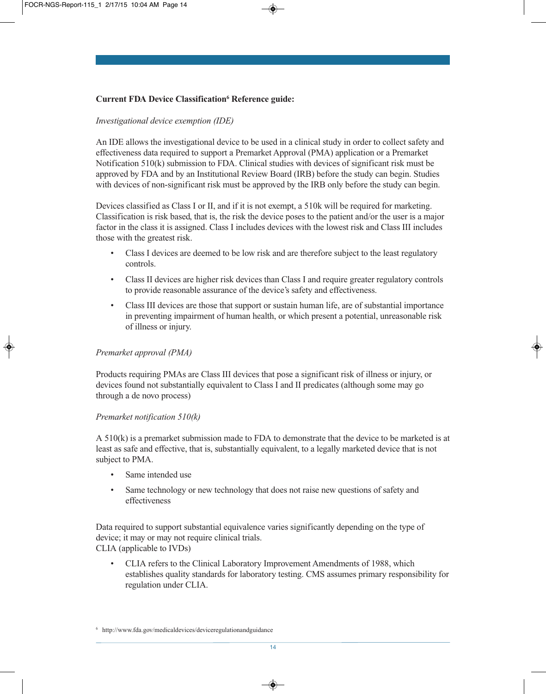# **Current FDA Device Classification<sup>6</sup> Reference guide:**

# *Investigational device exemption (IDE)*

An IDE allows the investigational device to be used in a clinical study in order to collect safety and effectiveness data required to support a Premarket Approval (PMA) application or a Premarket Notification 510(k) submission to FDA. Clinical studies with devices of significant risk must be approved by FDA and by an Institutional Review Board (IRB) before the study can begin. Studies with devices of non-significant risk must be approved by the IRB only before the study can begin.

Devices classified as Class I or II, and if it is not exempt, a 510k will be required for marketing. Classification is risk based, that is, the risk the device poses to the patient and/or the user is a major factor in the class it is assigned. Class I includes devices with the lowest risk and Class III includes those with the greatest risk.

- Class I devices are deemed to be low risk and are therefore subject to the least regulatory controls.
- Class II devices are higher risk devices than Class I and require greater regulatory controls to provide reasonable assurance of the device's safety and effectiveness.
- Class III devices are those that support or sustain human life, are of substantial importance in preventing impairment of human health, or which present a potential, unreasonable risk of illness or injury.

# *Premarket approval (PMA)*

Products requiring PMAs are Class III devices that pose a significant risk of illness or injury, or devices found not substantially equivalent to Class I and II predicates (although some may go through a de novo process)

## *Premarket notification 510(k)*

A 510(k) is a premarket submission made to FDA to demonstrate that the device to be marketed is at least as safe and effective, that is, substantially equivalent, to a legally marketed device that is not subject to PMA.

- Same intended use
- Same technology or new technology that does not raise new questions of safety and effectiveness

Data required to support substantial equivalence varies significantly depending on the type of device; it may or may not require clinical trials. CLIA (applicable to IVDs)

• CLIA refers to the Clinical Laboratory Improvement Amendments of 1988, which establishes quality standards for laboratory testing. CMS assumes primary responsibility for regulation under CLIA.

<sup>6</sup> http://www.fda.gov/medicaldevices/deviceregulationandguidance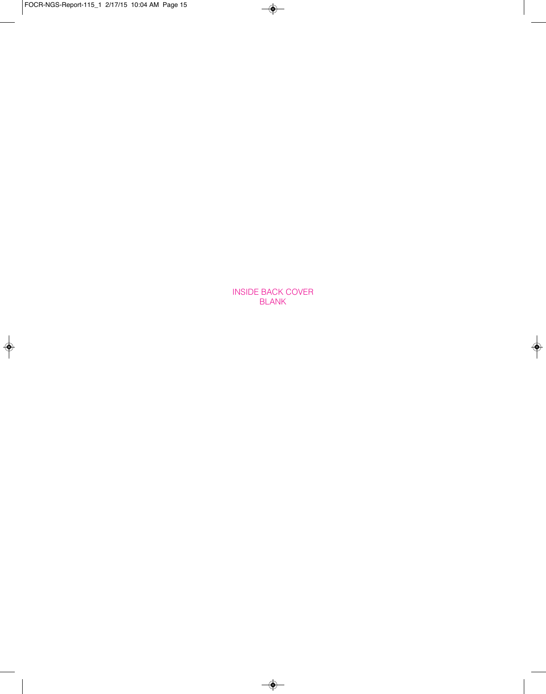$\Rightarrow$ 

INSIDE BACK COVER BLANK

 $\rightarrow$ 

 $\Rightarrow$ 

 $\begin{picture}(20,5) \put(0,0){\line(1,0){10}} \put(15,0){\line(1,0){10}} \put(15,0){\line(1,0){10}} \put(15,0){\line(1,0){10}} \put(15,0){\line(1,0){10}} \put(15,0){\line(1,0){10}} \put(15,0){\line(1,0){10}} \put(15,0){\line(1,0){10}} \put(15,0){\line(1,0){10}} \put(15,0){\line(1,0){10}} \put(15,0){\line(1,0){10}} \put(15,0){\line(1,$